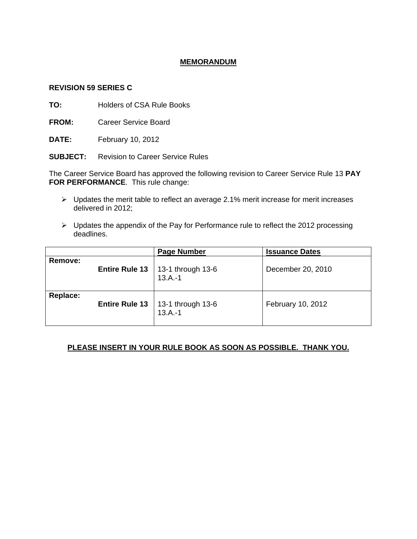# **MEMORANDUM**

### **REVISION 59 SERIES C**

**TO:** Holders of CSA Rule Books

**FROM:** Career Service Board

**DATE:** February 10, 2012

**SUBJECT:** Revision to Career Service Rules

The Career Service Board has approved the following revision to Career Service Rule 13 **PAY FOR PERFORMANCE**. This rule change:

- $\triangleright$  Updates the merit table to reflect an average 2.1% merit increase for merit increases delivered in 2012;
- ¾ Updates the appendix of the Pay for Performance rule to reflect the 2012 processing deadlines.

|          |                       | <b>Page Number</b>                                     | <b>Issuance Dates</b> |
|----------|-----------------------|--------------------------------------------------------|-----------------------|
| Remove:  |                       | <b>Entire Rule 13</b>   13-1 through 13-6<br>$13.A.-1$ | December 20, 2010     |
| Replace: | <b>Entire Rule 13</b> | 13-1 through 13-6<br>$13.A.-1$                         | February 10, 2012     |

# **PLEASE INSERT IN YOUR RULE BOOK AS SOON AS POSSIBLE. THANK YOU.**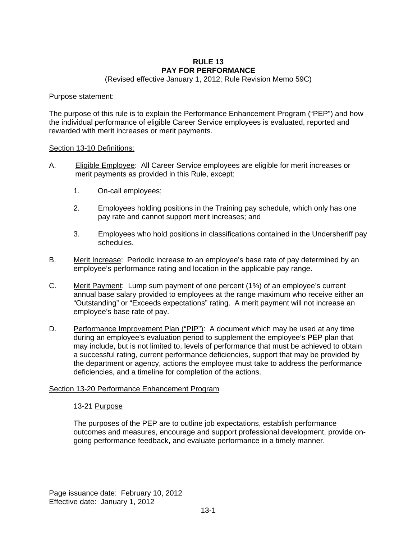### **RULE 13 PAY FOR PERFORMANCE**

(Revised effective January 1, 2012; Rule Revision Memo 59C)

#### Purpose statement:

The purpose of this rule is to explain the Performance Enhancement Program ("PEP") and how the individual performance of eligible Career Service employees is evaluated, reported and rewarded with merit increases or merit payments.

#### Section 13-10 Definitions:

- A. Eligible Employee: All Career Service employees are eligible for merit increases or merit payments as provided in this Rule, except:
	- 1. On-call employees;
	- 2. Employees holding positions in the Training pay schedule, which only has one pay rate and cannot support merit increases; and
	- 3. Employees who hold positions in classifications contained in the Undersheriff pay schedules.
- B. Merit Increase: Periodic increase to an employee's base rate of pay determined by an employee's performance rating and location in the applicable pay range.
- C. Merit Payment: Lump sum payment of one percent (1%) of an employee's current annual base salary provided to employees at the range maximum who receive either an "Outstanding" or "Exceeds expectations" rating. A merit payment will not increase an employee's base rate of pay.
- D. Performance Improvement Plan ("PIP"): A document which may be used at any time during an employee's evaluation period to supplement the employee's PEP plan that may include, but is not limited to, levels of performance that must be achieved to obtain a successful rating, current performance deficiencies, support that may be provided by the department or agency, actions the employee must take to address the performance deficiencies, and a timeline for completion of the actions.

# Section 13-20 Performance Enhancement Program

#### 13-21 Purpose

The purposes of the PEP are to outline job expectations, establish performance outcomes and measures, encourage and support professional development, provide ongoing performance feedback, and evaluate performance in a timely manner.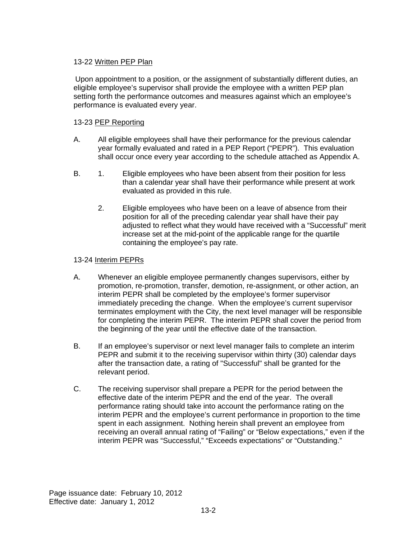# 13-22 Written PEP Plan

Upon appointment to a position, or the assignment of substantially different duties, an eligible employee's supervisor shall provide the employee with a written PEP plan setting forth the performance outcomes and measures against which an employee's performance is evaluated every year.

# 13-23 PEP Reporting

- A. All eligible employees shall have their performance for the previous calendar year formally evaluated and rated in a PEP Report ("PEPR"). This evaluation shall occur once every year according to the schedule attached as Appendix A.
- B. 1. Eligible employees who have been absent from their position for less than a calendar year shall have their performance while present at work evaluated as provided in this rule.
	- 2. Eligible employees who have been on a leave of absence from their position for all of the preceding calendar year shall have their pay adjusted to reflect what they would have received with a "Successful" merit increase set at the mid-point of the applicable range for the quartile containing the employee's pay rate.

# 13-24 Interim PEPRs

- A. Whenever an eligible employee permanently changes supervisors, either by promotion, re-promotion, transfer, demotion, re-assignment, or other action, an interim PEPR shall be completed by the employee's former supervisor immediately preceding the change. When the employee's current supervisor terminates employment with the City, the next level manager will be responsible for completing the interim PEPR. The interim PEPR shall cover the period from the beginning of the year until the effective date of the transaction.
- B. If an employee's supervisor or next level manager fails to complete an interim PEPR and submit it to the receiving supervisor within thirty (30) calendar days after the transaction date, a rating of "Successful" shall be granted for the relevant period.
- C. The receiving supervisor shall prepare a PEPR for the period between the effective date of the interim PEPR and the end of the year. The overall performance rating should take into account the performance rating on the interim PEPR and the employee's current performance in proportion to the time spent in each assignment. Nothing herein shall prevent an employee from receiving an overall annual rating of "Failing" or "Below expectations," even if the interim PEPR was "Successful," "Exceeds expectations" or "Outstanding."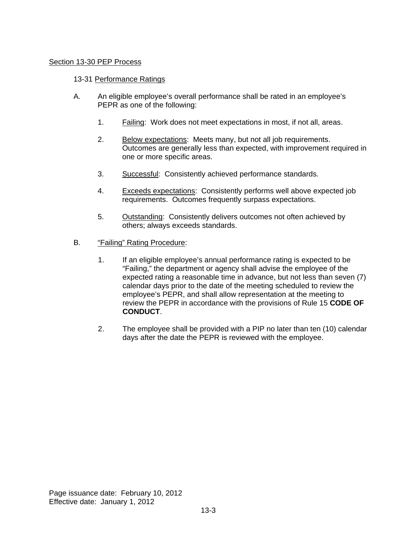### Section 13-30 PEP Process

#### 13-31 Performance Ratings

- A. An eligible employee's overall performance shall be rated in an employee's PEPR as one of the following:
	- 1. Failing: Work does not meet expectations in most, if not all, areas.
	- 2. Below expectations: Meets many, but not all job requirements. Outcomes are generally less than expected, with improvement required in one or more specific areas.
	- 3. Successful: Consistently achieved performance standards.
	- 4. Exceeds expectations: Consistently performs well above expected job requirements. Outcomes frequently surpass expectations.
	- 5. Outstanding: Consistently delivers outcomes not often achieved by others; always exceeds standards.
- B. "Failing" Rating Procedure:
	- 1. If an eligible employee's annual performance rating is expected to be "Failing," the department or agency shall advise the employee of the expected rating a reasonable time in advance, but not less than seven (7) calendar days prior to the date of the meeting scheduled to review the employee's PEPR, and shall allow representation at the meeting to review the PEPR in accordance with the provisions of Rule 15 **CODE OF CONDUCT**.
	- 2. The employee shall be provided with a PIP no later than ten (10) calendar days after the date the PEPR is reviewed with the employee.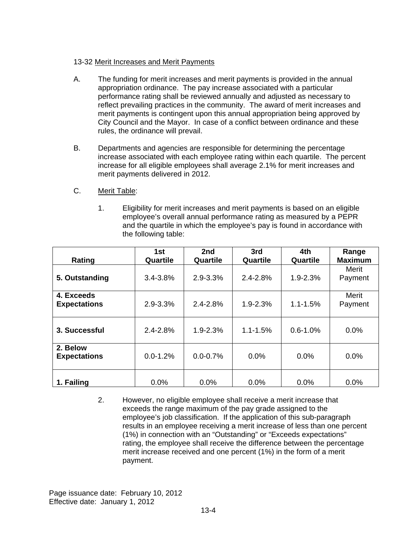# 13-32 Merit Increases and Merit Payments

- A. The funding for merit increases and merit payments is provided in the annual appropriation ordinance. The pay increase associated with a particular performance rating shall be reviewed annually and adjusted as necessary to reflect prevailing practices in the community. The award of merit increases and merit payments is contingent upon this annual appropriation being approved by City Council and the Mayor. In case of a conflict between ordinance and these rules, the ordinance will prevail.
- B. Departments and agencies are responsible for determining the percentage increase associated with each employee rating within each quartile. The percent increase for all eligible employees shall average 2.1% for merit increases and merit payments delivered in 2012.
- C. Merit Table:
	- 1. Eligibility for merit increases and merit payments is based on an eligible employee's overall annual performance rating as measured by a PEPR and the quartile in which the employee's pay is found in accordance with the following table:

|                                   | 1st          | 2nd          | 3rd          | 4th          | Range            |
|-----------------------------------|--------------|--------------|--------------|--------------|------------------|
| Rating                            | Quartile     | Quartile     | Quartile     | Quartile     | <b>Maximum</b>   |
| 5. Outstanding                    | 3.4-3.8%     | $2.9 - 3.3%$ | $2.4 - 2.8%$ | $1.9 - 2.3%$ | Merit<br>Payment |
| 4. Exceeds<br><b>Expectations</b> | 2.9-3.3%     | $2.4 - 2.8%$ | $1.9 - 2.3%$ | $1.1 - 1.5%$ | Merit<br>Payment |
| 3. Successful                     | $2.4 - 2.8%$ | $1.9 - 2.3%$ | $1.1 - 1.5%$ | $0.6 - 1.0%$ | 0.0%             |
| 2. Below<br><b>Expectations</b>   | $0.0 - 1.2%$ | $0.0 - 0.7%$ | $0.0\%$      | $0.0\%$      | 0.0%             |
| 1. Failing                        | 0.0%         | 0.0%         | 0.0%         | 0.0%         | 0.0%             |

2. However, no eligible employee shall receive a merit increase that exceeds the range maximum of the pay grade assigned to the employee's job classification. If the application of this sub-paragraph results in an employee receiving a merit increase of less than one percent (1%) in connection with an "Outstanding" or "Exceeds expectations" rating, the employee shall receive the difference between the percentage merit increase received and one percent (1%) in the form of a merit payment.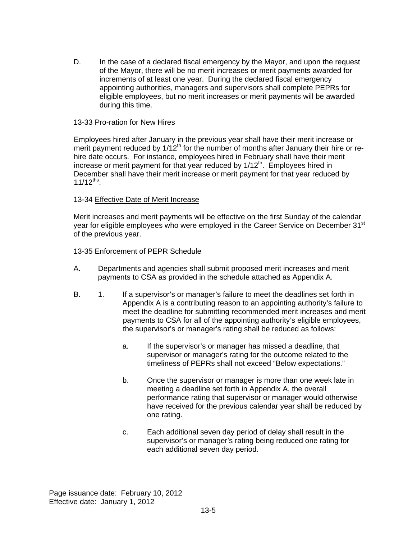D. In the case of a declared fiscal emergency by the Mayor, and upon the request of the Mayor, there will be no merit increases or merit payments awarded for increments of at least one year. During the declared fiscal emergency appointing authorities, managers and supervisors shall complete PEPRs for eligible employees, but no merit increases or merit payments will be awarded during this time.

### 13-33 Pro-ration for New Hires

Employees hired after January in the previous year shall have their merit increase or merit payment reduced by  $1/12<sup>th</sup>$  for the number of months after January their hire or rehire date occurs. For instance, employees hired in February shall have their merit increase or merit payment for that year reduced by  $1/12<sup>th</sup>$ . Employees hired in December shall have their merit increase or merit payment for that year reduced by  $11/12^{ths}$ .

# 13-34 Effective Date of Merit Increase

Merit increases and merit payments will be effective on the first Sunday of the calendar year for eligible employees who were employed in the Career Service on December 31<sup>st</sup> of the previous year.

### 13-35 Enforcement of PEPR Schedule

- A. Departments and agencies shall submit proposed merit increases and merit payments to CSA as provided in the schedule attached as Appendix A.
- B. 1. If a supervisor's or manager's failure to meet the deadlines set forth in Appendix A is a contributing reason to an appointing authority's failure to meet the deadline for submitting recommended merit increases and merit payments to CSA for all of the appointing authority's eligible employees, the supervisor's or manager's rating shall be reduced as follows:
	- a. If the supervisor's or manager has missed a deadline, that supervisor or manager's rating for the outcome related to the timeliness of PEPRs shall not exceed "Below expectations."
	- b. Once the supervisor or manager is more than one week late in meeting a deadline set forth in Appendix A, the overall performance rating that supervisor or manager would otherwise have received for the previous calendar year shall be reduced by one rating.
	- c. Each additional seven day period of delay shall result in the supervisor's or manager's rating being reduced one rating for each additional seven day period.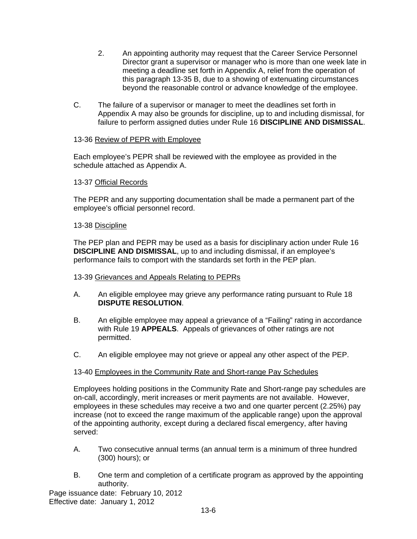- 2. An appointing authority may request that the Career Service Personnel Director grant a supervisor or manager who is more than one week late in meeting a deadline set forth in Appendix A, relief from the operation of this paragraph 13-35 B, due to a showing of extenuating circumstances beyond the reasonable control or advance knowledge of the employee.
- C. The failure of a supervisor or manager to meet the deadlines set forth in Appendix A may also be grounds for discipline, up to and including dismissal, for failure to perform assigned duties under Rule 16 **DISCIPLINE AND DISMISSAL**.

# 13-36 Review of PEPR with Employee

Each employee's PEPR shall be reviewed with the employee as provided in the schedule attached as Appendix A.

# 13-37 Official Records

The PEPR and any supporting documentation shall be made a permanent part of the employee's official personnel record.

# 13-38 Discipline

The PEP plan and PEPR may be used as a basis for disciplinary action under Rule 16 **DISCIPLINE AND DISMISSAL**, up to and including dismissal, if an employee's performance fails to comport with the standards set forth in the PEP plan.

# 13-39 Grievances and Appeals Relating to PEPRs

- A. An eligible employee may grieve any performance rating pursuant to Rule 18 **DISPUTE RESOLUTION**.
- B. An eligible employee may appeal a grievance of a "Failing" rating in accordance with Rule 19 **APPEALS**. Appeals of grievances of other ratings are not permitted.
- C. An eligible employee may not grieve or appeal any other aspect of the PEP.

# 13-40 Employees in the Community Rate and Short-range Pay Schedules

Employees holding positions in the Community Rate and Short-range pay schedules are on-call, accordingly, merit increases or merit payments are not available. However, employees in these schedules may receive a two and one quarter percent (2.25%) pay increase (not to exceed the range maximum of the applicable range) upon the approval of the appointing authority, except during a declared fiscal emergency, after having served:

- A. Two consecutive annual terms (an annual term is a minimum of three hundred (300) hours); or
- B. One term and completion of a certificate program as approved by the appointing authority.